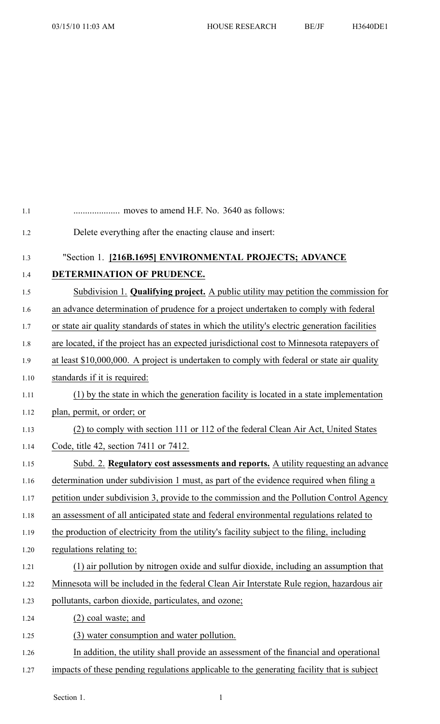| 1.1  |                                                                                                |
|------|------------------------------------------------------------------------------------------------|
| 1.2  | Delete everything after the enacting clause and insert:                                        |
| 1.3  | "Section 1. [216B.1695] ENVIRONMENTAL PROJECTS; ADVANCE                                        |
| 1.4  | DETERMINATION OF PRUDENCE.                                                                     |
| 1.5  | Subdivision 1. Qualifying project. A public utility may petition the commission for            |
| 1.6  | an advance determination of prudence for a project undertaken to comply with federal           |
| 1.7  | or state air quality standards of states in which the utility's electric generation facilities |
| 1.8  | are located, if the project has an expected jurisdictional cost to Minnesota ratepayers of     |
| 1.9  | at least \$10,000,000. A project is undertaken to comply with federal or state air quality     |
| 1.10 | standards if it is required:                                                                   |
| 1.11 | (1) by the state in which the generation facility is located in a state implementation         |
| 1.12 | plan, permit, or order; or                                                                     |
| 1.13 | (2) to comply with section 111 or 112 of the federal Clean Air Act, United States              |
| 1.14 | Code, title 42, section 7411 or 7412.                                                          |
| 1.15 | Subd. 2. Regulatory cost assessments and reports. A utility requesting an advance              |
| 1.16 | determination under subdivision 1 must, as part of the evidence required when filing a         |
| 1.17 | petition under subdivision 3, provide to the commission and the Pollution Control Agency       |
| 1.18 | an assessment of all anticipated state and federal environmental regulations related to        |
| 1.19 | the production of electricity from the utility's facility subject to the filing, including     |
| 1.20 | regulations relating to:                                                                       |
| 1.21 | (1) air pollution by nitrogen oxide and sulfur dioxide, including an assumption that           |
| 1.22 | Minnesota will be included in the federal Clean Air Interstate Rule region, hazardous air      |
| 1.23 | pollutants, carbon dioxide, particulates, and ozone;                                           |
| 1.24 | (2) coal waste; and                                                                            |
| 1.25 | (3) water consumption and water pollution.                                                     |
| 1.26 | In addition, the utility shall provide an assessment of the financial and operational          |
| 1.27 | impacts of these pending regulations applicable to the generating facility that is subject     |

Section 1. 1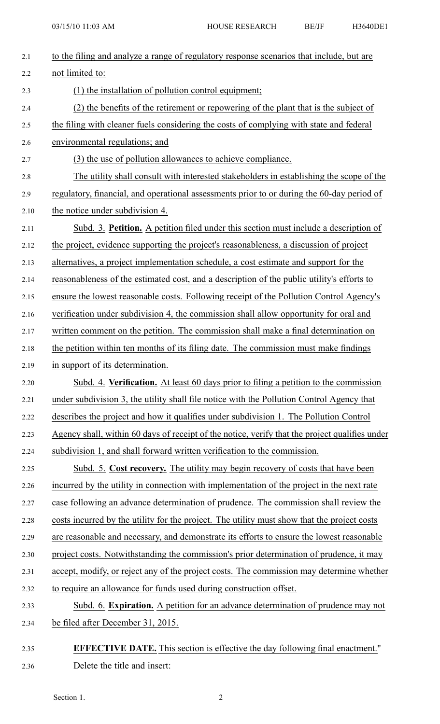| 2.1  | to the filing and analyze a range of regulatory response scenarios that include, but are       |
|------|------------------------------------------------------------------------------------------------|
| 2.2  | not limited to:                                                                                |
| 2.3  | (1) the installation of pollution control equipment;                                           |
| 2.4  | (2) the benefits of the retirement or repowering of the plant that is the subject of           |
| 2.5  | the filing with cleaner fuels considering the costs of complying with state and federal        |
| 2.6  | environmental regulations; and                                                                 |
| 2.7  | (3) the use of pollution allowances to achieve compliance.                                     |
| 2.8  | The utility shall consult with interested stakeholders in establishing the scope of the        |
| 2.9  | regulatory, financial, and operational assessments prior to or during the 60-day period of     |
| 2.10 | the notice under subdivision 4.                                                                |
| 2.11 | Subd. 3. Petition. A petition filed under this section must include a description of           |
| 2.12 | the project, evidence supporting the project's reasonableness, a discussion of project         |
| 2.13 | alternatives, a project implementation schedule, a cost estimate and support for the           |
| 2.14 | reasonableness of the estimated cost, and a description of the public utility's efforts to     |
| 2.15 | ensure the lowest reasonable costs. Following receipt of the Pollution Control Agency's        |
| 2.16 | verification under subdivision 4, the commission shall allow opportunity for oral and          |
| 2.17 | written comment on the petition. The commission shall make a final determination on            |
| 2.18 | the petition within ten months of its filing date. The commission must make findings           |
| 2.19 | in support of its determination.                                                               |
| 2.20 | Subd. 4. Verification. At least 60 days prior to filing a petition to the commission           |
| 2.21 | under subdivision 3, the utility shall file notice with the Pollution Control Agency that      |
| 2.22 | describes the project and how it qualifies under subdivision 1. The Pollution Control          |
| 2.23 | Agency shall, within 60 days of receipt of the notice, verify that the project qualifies under |
| 2.24 | subdivision 1, and shall forward written verification to the commission.                       |
| 2.25 | Subd. 5. Cost recovery. The utility may begin recovery of costs that have been                 |
| 2.26 | incurred by the utility in connection with implementation of the project in the next rate      |
| 2.27 | case following an advance determination of prudence. The commission shall review the           |
| 2.28 | costs incurred by the utility for the project. The utility must show that the project costs    |
| 2.29 | are reasonable and necessary, and demonstrate its efforts to ensure the lowest reasonable      |
| 2.30 | project costs. Notwithstanding the commission's prior determination of prudence, it may        |
| 2.31 | accept, modify, or reject any of the project costs. The commission may determine whether       |
| 2.32 | to require an allowance for funds used during construction offset.                             |
| 2.33 | Subd. 6. Expiration. A petition for an advance determination of prudence may not               |
| 2.34 | be filed after December 31, 2015.                                                              |
| 2.35 | <b>EFFECTIVE DATE.</b> This section is effective the day following final enactment."           |

2.36 Delete the title and insert: